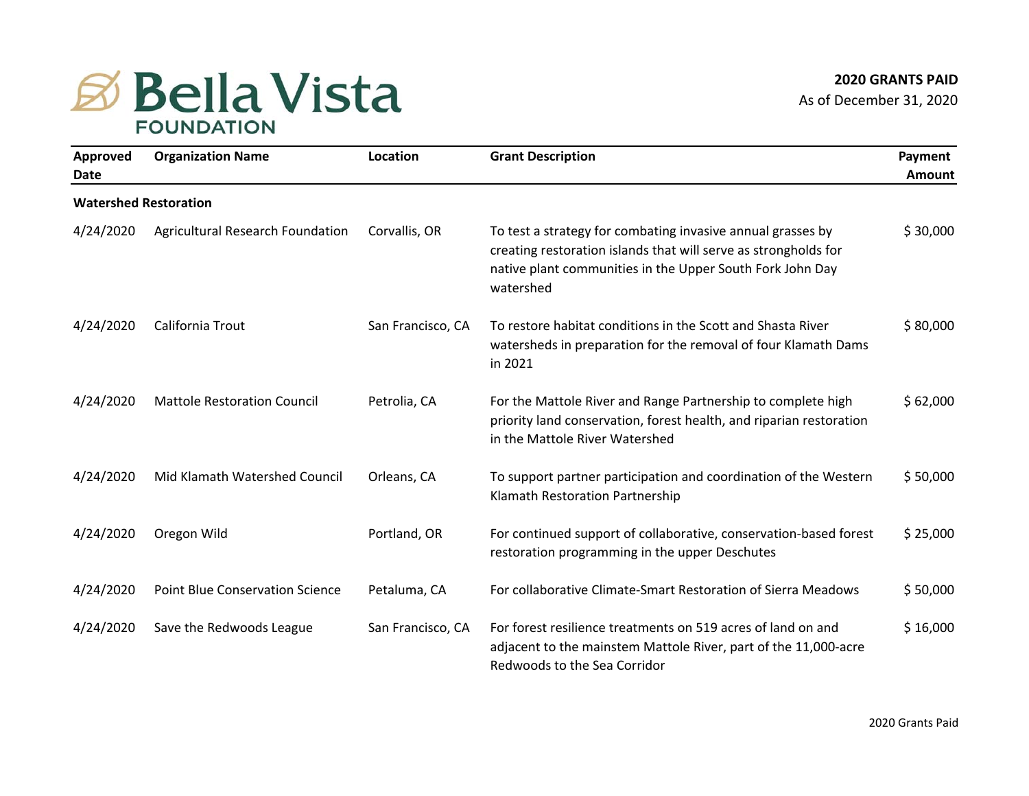## **B** Bella Vista **FOUNDATION**

| Approved<br>Date | <b>Organization Name</b>               | Location          | <b>Grant Description</b>                                                                                                                                                                                 | Payment<br><b>Amount</b> |
|------------------|----------------------------------------|-------------------|----------------------------------------------------------------------------------------------------------------------------------------------------------------------------------------------------------|--------------------------|
|                  | <b>Watershed Restoration</b>           |                   |                                                                                                                                                                                                          |                          |
| 4/24/2020        | Agricultural Research Foundation       | Corvallis, OR     | To test a strategy for combating invasive annual grasses by<br>creating restoration islands that will serve as strongholds for<br>native plant communities in the Upper South Fork John Day<br>watershed | \$30,000                 |
| 4/24/2020        | California Trout                       | San Francisco, CA | To restore habitat conditions in the Scott and Shasta River<br>watersheds in preparation for the removal of four Klamath Dams<br>in 2021                                                                 | \$80,000                 |
| 4/24/2020        | <b>Mattole Restoration Council</b>     | Petrolia, CA      | For the Mattole River and Range Partnership to complete high<br>priority land conservation, forest health, and riparian restoration<br>in the Mattole River Watershed                                    | \$62,000                 |
| 4/24/2020        | Mid Klamath Watershed Council          | Orleans, CA       | To support partner participation and coordination of the Western<br>Klamath Restoration Partnership                                                                                                      | \$50,000                 |
| 4/24/2020        | Oregon Wild                            | Portland, OR      | For continued support of collaborative, conservation-based forest<br>restoration programming in the upper Deschutes                                                                                      | \$25,000                 |
| 4/24/2020        | <b>Point Blue Conservation Science</b> | Petaluma, CA      | For collaborative Climate-Smart Restoration of Sierra Meadows                                                                                                                                            | \$50,000                 |
| 4/24/2020        | Save the Redwoods League               | San Francisco, CA | For forest resilience treatments on 519 acres of land on and<br>adjacent to the mainstem Mattole River, part of the 11,000-acre<br><b>Redwoods to the Sea Corridor</b>                                   | \$16,000                 |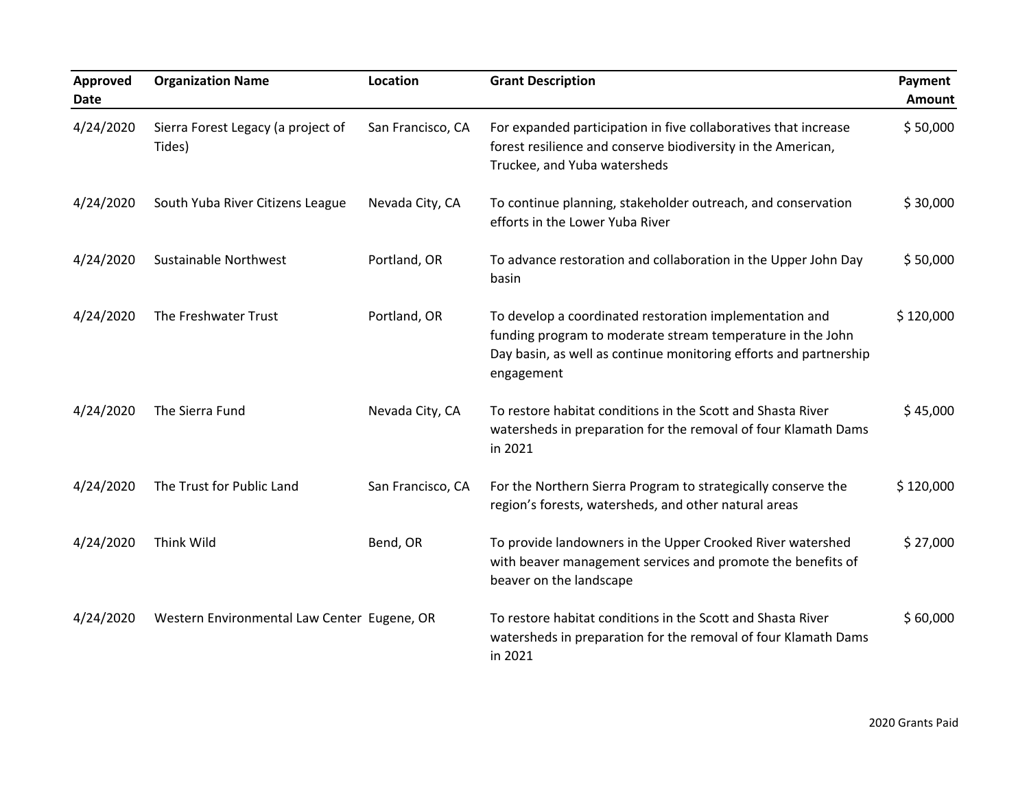| <b>Approved</b><br>Date | <b>Organization Name</b>                     | Location          | <b>Grant Description</b>                                                                                                                                                                                 | Payment<br><b>Amount</b> |
|-------------------------|----------------------------------------------|-------------------|----------------------------------------------------------------------------------------------------------------------------------------------------------------------------------------------------------|--------------------------|
| 4/24/2020               | Sierra Forest Legacy (a project of<br>Tides) | San Francisco, CA | For expanded participation in five collaboratives that increase<br>forest resilience and conserve biodiversity in the American,<br>Truckee, and Yuba watersheds                                          | \$50,000                 |
| 4/24/2020               | South Yuba River Citizens League             | Nevada City, CA   | To continue planning, stakeholder outreach, and conservation<br>efforts in the Lower Yuba River                                                                                                          | \$30,000                 |
| 4/24/2020               | <b>Sustainable Northwest</b>                 | Portland, OR      | To advance restoration and collaboration in the Upper John Day<br>basin                                                                                                                                  | \$50,000                 |
| 4/24/2020               | The Freshwater Trust                         | Portland, OR      | To develop a coordinated restoration implementation and<br>funding program to moderate stream temperature in the John<br>Day basin, as well as continue monitoring efforts and partnership<br>engagement | \$120,000                |
| 4/24/2020               | The Sierra Fund                              | Nevada City, CA   | To restore habitat conditions in the Scott and Shasta River<br>watersheds in preparation for the removal of four Klamath Dams<br>in 2021                                                                 | \$45,000                 |
| 4/24/2020               | The Trust for Public Land                    | San Francisco, CA | For the Northern Sierra Program to strategically conserve the<br>region's forests, watersheds, and other natural areas                                                                                   | \$120,000                |
| 4/24/2020               | Think Wild                                   | Bend, OR          | To provide landowners in the Upper Crooked River watershed<br>with beaver management services and promote the benefits of<br>beaver on the landscape                                                     | \$27,000                 |
| 4/24/2020               | Western Environmental Law Center Eugene, OR  |                   | To restore habitat conditions in the Scott and Shasta River<br>watersheds in preparation for the removal of four Klamath Dams<br>in 2021                                                                 | \$60,000                 |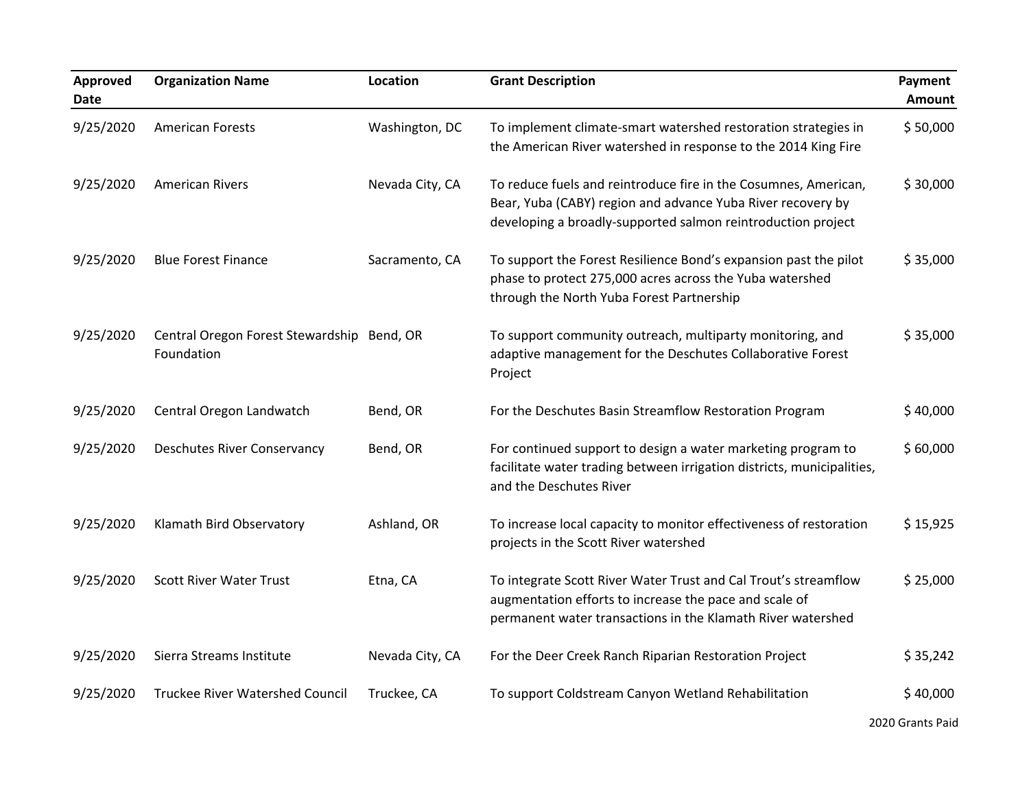| <b>Approved</b><br><b>Date</b> | <b>Organization Name</b>                                 | Location        | <b>Grant Description</b>                                                                                                                                                                       | Payment<br>Amount |
|--------------------------------|----------------------------------------------------------|-----------------|------------------------------------------------------------------------------------------------------------------------------------------------------------------------------------------------|-------------------|
| 9/25/2020                      | <b>American Forests</b>                                  | Washington, DC  | To implement climate-smart watershed restoration strategies in<br>the American River watershed in response to the 2014 King Fire                                                               | \$50,000          |
| 9/25/2020                      | <b>American Rivers</b>                                   | Nevada City, CA | To reduce fuels and reintroduce fire in the Cosumnes, American,<br>Bear, Yuba (CABY) region and advance Yuba River recovery by<br>developing a broadly-supported salmon reintroduction project | \$30,000          |
| 9/25/2020                      | <b>Blue Forest Finance</b>                               | Sacramento, CA  | To support the Forest Resilience Bond's expansion past the pilot<br>phase to protect 275,000 acres across the Yuba watershed<br>through the North Yuba Forest Partnership                      | \$35,000          |
| 9/25/2020                      | Central Oregon Forest Stewardship Bend, OR<br>Foundation |                 | To support community outreach, multiparty monitoring, and<br>adaptive management for the Deschutes Collaborative Forest<br>Project                                                             | \$35,000          |
| 9/25/2020                      | Central Oregon Landwatch                                 | Bend, OR        | For the Deschutes Basin Streamflow Restoration Program                                                                                                                                         | \$40,000          |
| 9/25/2020                      | <b>Deschutes River Conservancy</b>                       | Bend, OR        | For continued support to design a water marketing program to<br>facilitate water trading between irrigation districts, municipalities,<br>and the Deschutes River                              | \$60,000          |
| 9/25/2020                      | Klamath Bird Observatory                                 | Ashland, OR     | To increase local capacity to monitor effectiveness of restoration<br>projects in the Scott River watershed                                                                                    | \$15,925          |
| 9/25/2020                      | <b>Scott River Water Trust</b>                           | Etna, CA        | To integrate Scott River Water Trust and Cal Trout's streamflow<br>augmentation efforts to increase the pace and scale of<br>permanent water transactions in the Klamath River watershed       | \$25,000          |
| 9/25/2020                      | Sierra Streams Institute                                 | Nevada City, CA | For the Deer Creek Ranch Riparian Restoration Project                                                                                                                                          | \$35,242          |
| 9/25/2020                      | Truckee River Watershed Council                          | Truckee, CA     | To support Coldstream Canyon Wetland Rehabilitation                                                                                                                                            | \$40,000          |
|                                |                                                          |                 |                                                                                                                                                                                                | 2020 Grants Paid  |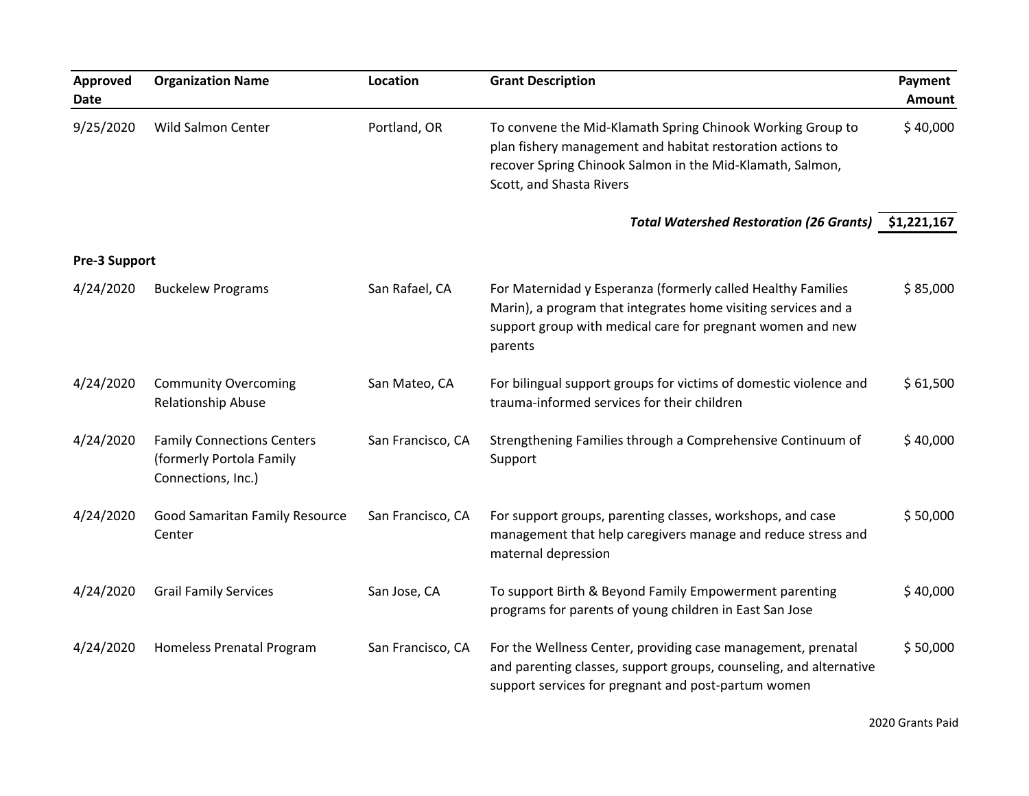| Approved<br><b>Date</b> | <b>Organization Name</b>                                                            | Location          | <b>Grant Description</b>                                                                                                                                                                                          | Payment<br>Amount |
|-------------------------|-------------------------------------------------------------------------------------|-------------------|-------------------------------------------------------------------------------------------------------------------------------------------------------------------------------------------------------------------|-------------------|
| 9/25/2020               | Wild Salmon Center                                                                  | Portland, OR      | To convene the Mid-Klamath Spring Chinook Working Group to<br>plan fishery management and habitat restoration actions to<br>recover Spring Chinook Salmon in the Mid-Klamath, Salmon,<br>Scott, and Shasta Rivers | \$40,000          |
|                         |                                                                                     |                   | Total Watershed Restoration (26 Grants) \$1,221,167                                                                                                                                                               |                   |
| <b>Pre-3 Support</b>    |                                                                                     |                   |                                                                                                                                                                                                                   |                   |
| 4/24/2020               | <b>Buckelew Programs</b>                                                            | San Rafael, CA    | For Maternidad y Esperanza (formerly called Healthy Families<br>Marin), a program that integrates home visiting services and a<br>support group with medical care for pregnant women and new<br>parents           | \$85,000          |
| 4/24/2020               | <b>Community Overcoming</b><br>Relationship Abuse                                   | San Mateo, CA     | For bilingual support groups for victims of domestic violence and<br>trauma-informed services for their children                                                                                                  | \$61,500          |
| 4/24/2020               | <b>Family Connections Centers</b><br>(formerly Portola Family<br>Connections, Inc.) | San Francisco, CA | Strengthening Families through a Comprehensive Continuum of<br>Support                                                                                                                                            | \$40,000          |
| 4/24/2020               | Good Samaritan Family Resource<br>Center                                            | San Francisco, CA | For support groups, parenting classes, workshops, and case<br>management that help caregivers manage and reduce stress and<br>maternal depression                                                                 | \$50,000          |
| 4/24/2020               | <b>Grail Family Services</b>                                                        | San Jose, CA      | To support Birth & Beyond Family Empowerment parenting<br>programs for parents of young children in East San Jose                                                                                                 | \$40,000          |
| 4/24/2020               | Homeless Prenatal Program                                                           | San Francisco, CA | For the Wellness Center, providing case management, prenatal<br>and parenting classes, support groups, counseling, and alternative<br>support services for pregnant and post-partum women                         | \$50,000          |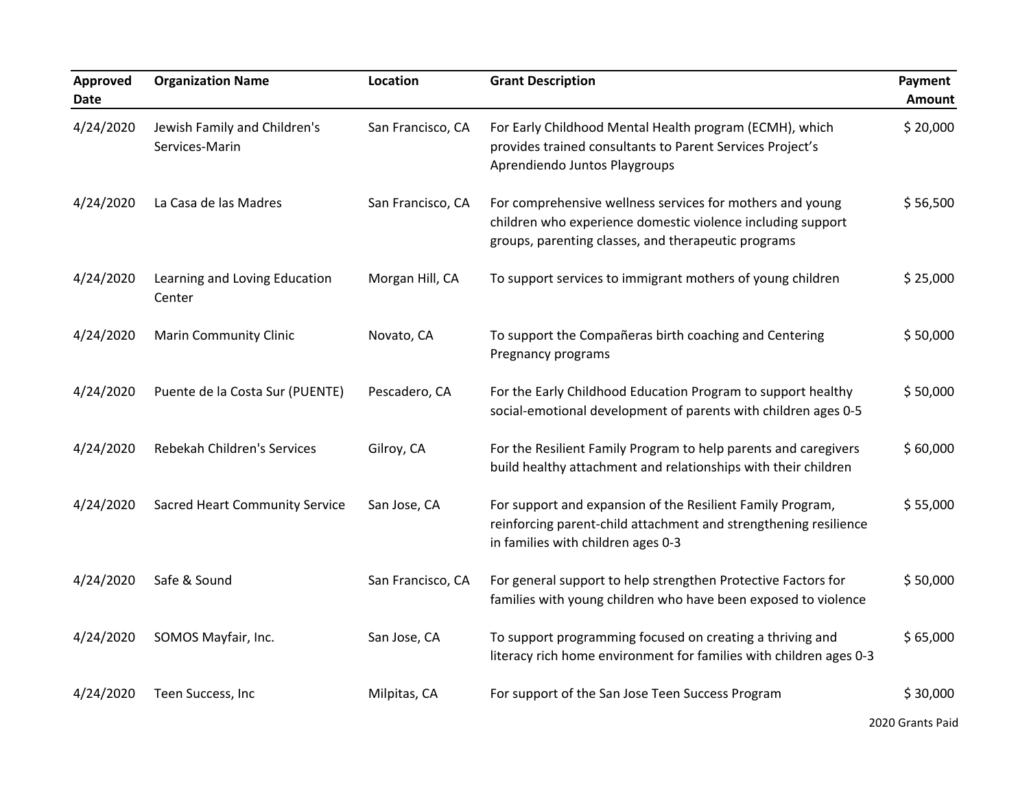| <b>Approved</b><br><b>Date</b> | <b>Organization Name</b>                       | Location          | <b>Grant Description</b>                                                                                                                                                        | Payment<br>Amount |
|--------------------------------|------------------------------------------------|-------------------|---------------------------------------------------------------------------------------------------------------------------------------------------------------------------------|-------------------|
| 4/24/2020                      | Jewish Family and Children's<br>Services-Marin | San Francisco, CA | For Early Childhood Mental Health program (ECMH), which<br>provides trained consultants to Parent Services Project's<br>Aprendiendo Juntos Playgroups                           | \$20,000          |
| 4/24/2020                      | La Casa de las Madres                          | San Francisco, CA | For comprehensive wellness services for mothers and young<br>children who experience domestic violence including support<br>groups, parenting classes, and therapeutic programs | \$56,500          |
| 4/24/2020                      | Learning and Loving Education<br>Center        | Morgan Hill, CA   | To support services to immigrant mothers of young children                                                                                                                      | \$25,000          |
| 4/24/2020                      | <b>Marin Community Clinic</b>                  | Novato, CA        | To support the Compañeras birth coaching and Centering<br>Pregnancy programs                                                                                                    | \$50,000          |
| 4/24/2020                      | Puente de la Costa Sur (PUENTE)                | Pescadero, CA     | For the Early Childhood Education Program to support healthy<br>social-emotional development of parents with children ages 0-5                                                  | \$50,000          |
| 4/24/2020                      | Rebekah Children's Services                    | Gilroy, CA        | For the Resilient Family Program to help parents and caregivers<br>build healthy attachment and relationships with their children                                               | \$60,000          |
| 4/24/2020                      | <b>Sacred Heart Community Service</b>          | San Jose, CA      | For support and expansion of the Resilient Family Program,<br>reinforcing parent-child attachment and strengthening resilience<br>in families with children ages 0-3            | \$55,000          |
| 4/24/2020                      | Safe & Sound                                   | San Francisco, CA | For general support to help strengthen Protective Factors for<br>families with young children who have been exposed to violence                                                 | \$50,000          |
| 4/24/2020                      | SOMOS Mayfair, Inc.                            | San Jose, CA      | To support programming focused on creating a thriving and<br>literacy rich home environment for families with children ages 0-3                                                 | \$65,000          |
| 4/24/2020                      | Teen Success, Inc                              | Milpitas, CA      | For support of the San Jose Teen Success Program                                                                                                                                | \$30,000          |

2020 Grants Paid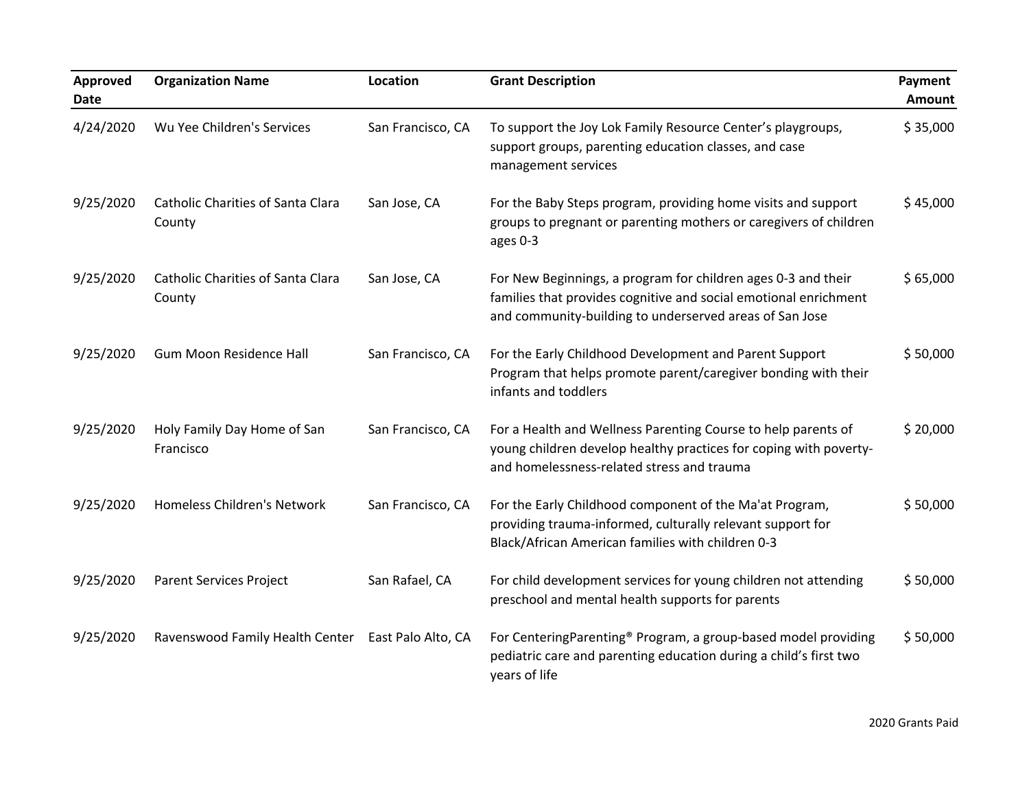| Approved<br><b>Date</b> | <b>Organization Name</b>                           | Location           | <b>Grant Description</b>                                                                                                                                                                     | Payment<br>Amount |
|-------------------------|----------------------------------------------------|--------------------|----------------------------------------------------------------------------------------------------------------------------------------------------------------------------------------------|-------------------|
| 4/24/2020               | Wu Yee Children's Services                         | San Francisco, CA  | To support the Joy Lok Family Resource Center's playgroups,<br>support groups, parenting education classes, and case<br>management services                                                  | \$35,000          |
| 9/25/2020               | <b>Catholic Charities of Santa Clara</b><br>County | San Jose, CA       | For the Baby Steps program, providing home visits and support<br>groups to pregnant or parenting mothers or caregivers of children<br>ages 0-3                                               | \$45,000          |
| 9/25/2020               | <b>Catholic Charities of Santa Clara</b><br>County | San Jose, CA       | For New Beginnings, a program for children ages 0-3 and their<br>families that provides cognitive and social emotional enrichment<br>and community-building to underserved areas of San Jose | \$65,000          |
| 9/25/2020               | <b>Gum Moon Residence Hall</b>                     | San Francisco, CA  | For the Early Childhood Development and Parent Support<br>Program that helps promote parent/caregiver bonding with their<br>infants and toddlers                                             | \$50,000          |
| 9/25/2020               | Holy Family Day Home of San<br>Francisco           | San Francisco, CA  | For a Health and Wellness Parenting Course to help parents of<br>young children develop healthy practices for coping with poverty-<br>and homelessness-related stress and trauma             | \$20,000          |
| 9/25/2020               | Homeless Children's Network                        | San Francisco, CA  | For the Early Childhood component of the Ma'at Program,<br>providing trauma-informed, culturally relevant support for<br>Black/African American families with children 0-3                   | \$50,000          |
| 9/25/2020               | Parent Services Project                            | San Rafael, CA     | For child development services for young children not attending<br>preschool and mental health supports for parents                                                                          | \$50,000          |
| 9/25/2020               | Ravenswood Family Health Center                    | East Palo Alto, CA | For CenteringParenting® Program, a group-based model providing<br>pediatric care and parenting education during a child's first two<br>years of life                                         | \$50,000          |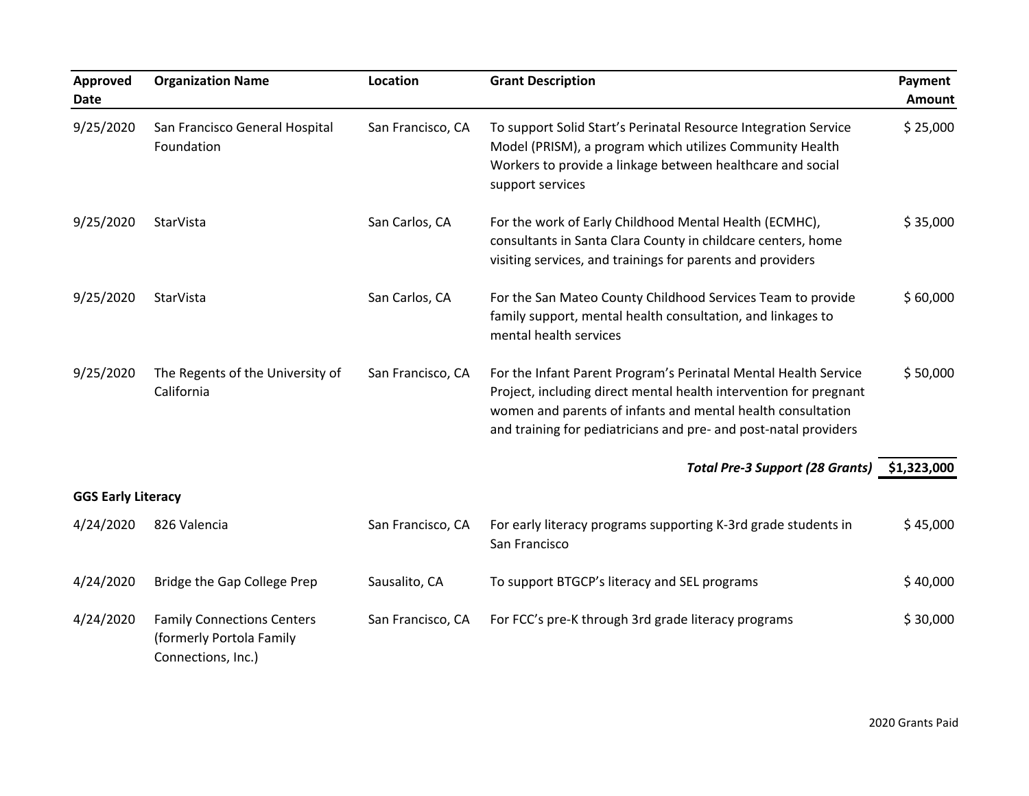| Approved<br>Date          | <b>Organization Name</b>                                                            | Location          | <b>Grant Description</b>                                                                                                                                                                                                                                                | Payment<br>Amount |
|---------------------------|-------------------------------------------------------------------------------------|-------------------|-------------------------------------------------------------------------------------------------------------------------------------------------------------------------------------------------------------------------------------------------------------------------|-------------------|
| 9/25/2020                 | San Francisco General Hospital<br>Foundation                                        | San Francisco, CA | To support Solid Start's Perinatal Resource Integration Service<br>Model (PRISM), a program which utilizes Community Health<br>Workers to provide a linkage between healthcare and social<br>support services                                                           | \$25,000          |
| 9/25/2020                 | StarVista                                                                           | San Carlos, CA    | For the work of Early Childhood Mental Health (ECMHC),<br>consultants in Santa Clara County in childcare centers, home<br>visiting services, and trainings for parents and providers                                                                                    | \$35,000          |
| 9/25/2020                 | StarVista                                                                           | San Carlos, CA    | For the San Mateo County Childhood Services Team to provide<br>family support, mental health consultation, and linkages to<br>mental health services                                                                                                                    | \$60,000          |
| 9/25/2020                 | The Regents of the University of<br>California                                      | San Francisco, CA | For the Infant Parent Program's Perinatal Mental Health Service<br>Project, including direct mental health intervention for pregnant<br>women and parents of infants and mental health consultation<br>and training for pediatricians and pre- and post-natal providers | \$50,000          |
|                           |                                                                                     |                   | Total Pre-3 Support (28 Grants) \$1,323,000                                                                                                                                                                                                                             |                   |
| <b>GGS Early Literacy</b> |                                                                                     |                   |                                                                                                                                                                                                                                                                         |                   |
| 4/24/2020                 | 826 Valencia                                                                        | San Francisco, CA | For early literacy programs supporting K-3rd grade students in<br>San Francisco                                                                                                                                                                                         | \$45,000          |
| 4/24/2020                 | Bridge the Gap College Prep                                                         | Sausalito, CA     | To support BTGCP's literacy and SEL programs                                                                                                                                                                                                                            | \$40,000          |
| 4/24/2020                 | <b>Family Connections Centers</b><br>(formerly Portola Family<br>Connections, Inc.) | San Francisco, CA | For FCC's pre-K through 3rd grade literacy programs                                                                                                                                                                                                                     | \$30,000          |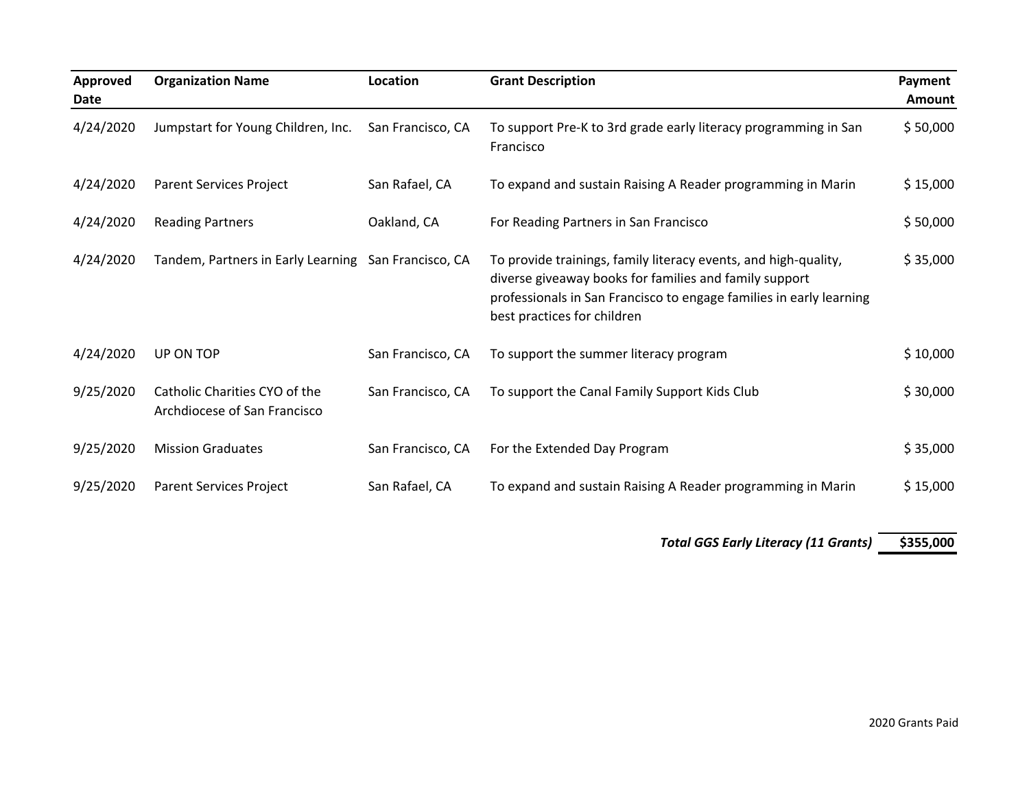| Approved<br>Date | <b>Organization Name</b>                                      | Location          | <b>Grant Description</b>                                                                                                                                                                                                        | Payment<br>Amount |
|------------------|---------------------------------------------------------------|-------------------|---------------------------------------------------------------------------------------------------------------------------------------------------------------------------------------------------------------------------------|-------------------|
| 4/24/2020        | Jumpstart for Young Children, Inc.                            | San Francisco, CA | To support Pre-K to 3rd grade early literacy programming in San<br>Francisco                                                                                                                                                    | \$50,000          |
| 4/24/2020        | Parent Services Project                                       | San Rafael, CA    | To expand and sustain Raising A Reader programming in Marin                                                                                                                                                                     | \$15,000          |
| 4/24/2020        | <b>Reading Partners</b>                                       | Oakland, CA       | For Reading Partners in San Francisco                                                                                                                                                                                           | \$50,000          |
| 4/24/2020        | Tandem, Partners in Early Learning San Francisco, CA          |                   | To provide trainings, family literacy events, and high-quality,<br>diverse giveaway books for families and family support<br>professionals in San Francisco to engage families in early learning<br>best practices for children | \$35,000          |
| 4/24/2020        | UP ON TOP                                                     | San Francisco, CA | To support the summer literacy program                                                                                                                                                                                          | \$10,000          |
| 9/25/2020        | Catholic Charities CYO of the<br>Archdiocese of San Francisco | San Francisco, CA | To support the Canal Family Support Kids Club                                                                                                                                                                                   | \$30,000          |
| 9/25/2020        | <b>Mission Graduates</b>                                      | San Francisco, CA | For the Extended Day Program                                                                                                                                                                                                    | \$35,000          |
| 9/25/2020        | Parent Services Project                                       | San Rafael, CA    | To expand and sustain Raising A Reader programming in Marin                                                                                                                                                                     | \$15,000          |

*Total GGS Early Literacy (11 Grants)* **\$355,000**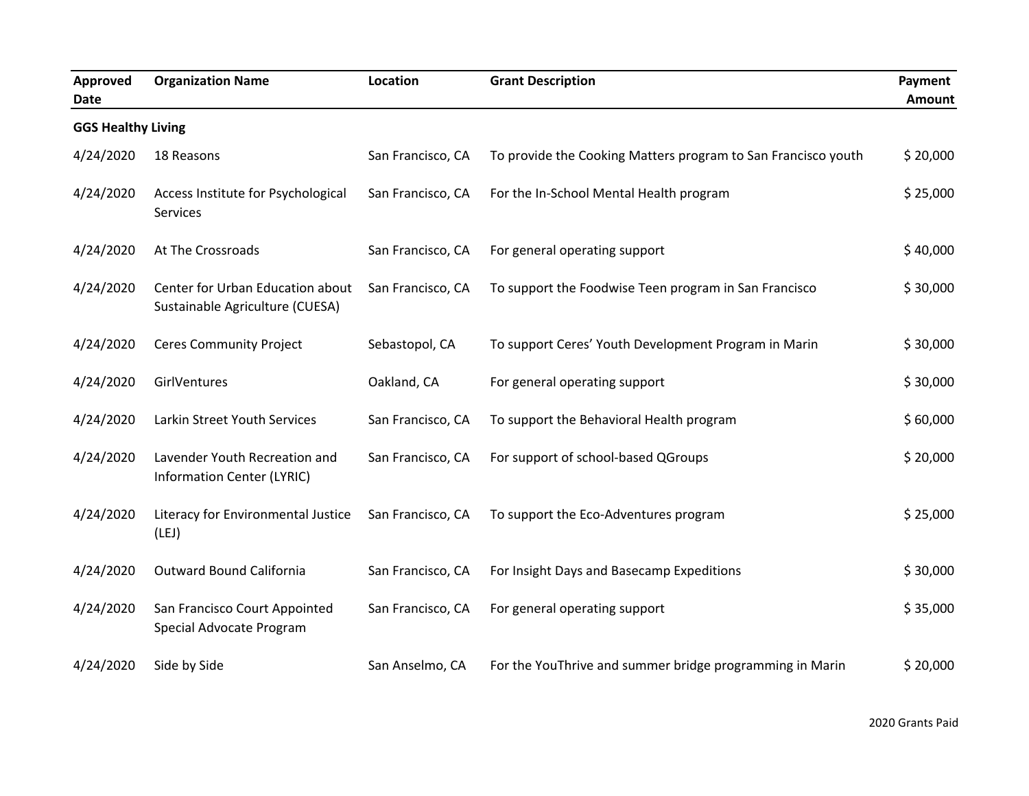| Approved<br>Date          | <b>Organization Name</b>                                            | Location          | <b>Grant Description</b>                                      | Payment<br>Amount |
|---------------------------|---------------------------------------------------------------------|-------------------|---------------------------------------------------------------|-------------------|
| <b>GGS Healthy Living</b> |                                                                     |                   |                                                               |                   |
| 4/24/2020                 | 18 Reasons                                                          | San Francisco, CA | To provide the Cooking Matters program to San Francisco youth | \$20,000          |
| 4/24/2020                 | Access Institute for Psychological<br><b>Services</b>               | San Francisco, CA | For the In-School Mental Health program                       | \$25,000          |
| 4/24/2020                 | At The Crossroads                                                   | San Francisco, CA | For general operating support                                 | \$40,000          |
| 4/24/2020                 | Center for Urban Education about<br>Sustainable Agriculture (CUESA) | San Francisco, CA | To support the Foodwise Teen program in San Francisco         | \$30,000          |
| 4/24/2020                 | <b>Ceres Community Project</b>                                      | Sebastopol, CA    | To support Ceres' Youth Development Program in Marin          | \$30,000          |
| 4/24/2020                 | GirlVentures                                                        | Oakland, CA       | For general operating support                                 | \$30,000          |
| 4/24/2020                 | Larkin Street Youth Services                                        | San Francisco, CA | To support the Behavioral Health program                      | \$60,000          |
| 4/24/2020                 | Lavender Youth Recreation and<br>Information Center (LYRIC)         | San Francisco, CA | For support of school-based QGroups                           | \$20,000          |
| 4/24/2020                 | Literacy for Environmental Justice<br>(LEJ)                         | San Francisco, CA | To support the Eco-Adventures program                         | \$25,000          |
| 4/24/2020                 | Outward Bound California                                            | San Francisco, CA | For Insight Days and Basecamp Expeditions                     | \$30,000          |
| 4/24/2020                 | San Francisco Court Appointed<br>Special Advocate Program           | San Francisco, CA | For general operating support                                 | \$35,000          |
| 4/24/2020                 | Side by Side                                                        | San Anselmo, CA   | For the YouThrive and summer bridge programming in Marin      | \$20,000          |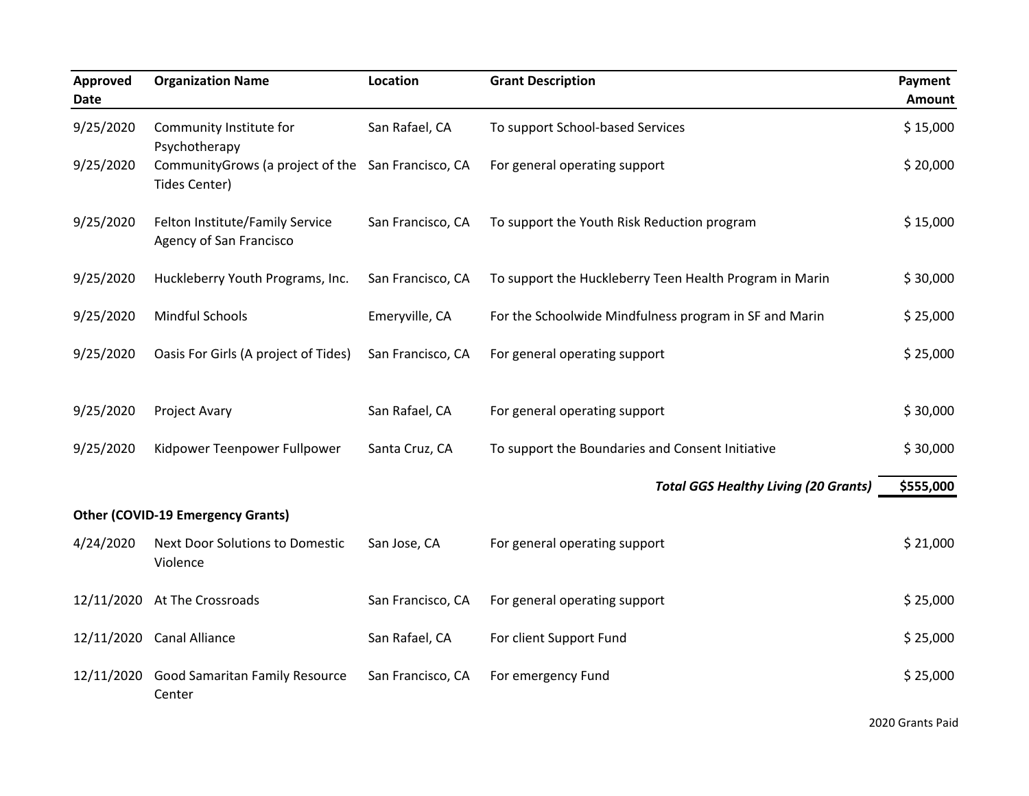| Approved<br><b>Date</b> | <b>Organization Name</b>                                            | Location          | <b>Grant Description</b>                                | Payment<br><b>Amount</b> |
|-------------------------|---------------------------------------------------------------------|-------------------|---------------------------------------------------------|--------------------------|
| 9/25/2020               | Community Institute for<br>Psychotherapy                            | San Rafael, CA    | To support School-based Services                        | \$15,000                 |
| 9/25/2020               | CommunityGrows (a project of the San Francisco, CA<br>Tides Center) |                   | For general operating support                           | \$20,000                 |
| 9/25/2020               | Felton Institute/Family Service<br>Agency of San Francisco          | San Francisco, CA | To support the Youth Risk Reduction program             | \$15,000                 |
| 9/25/2020               | Huckleberry Youth Programs, Inc.                                    | San Francisco, CA | To support the Huckleberry Teen Health Program in Marin | \$30,000                 |
| 9/25/2020               | <b>Mindful Schools</b>                                              | Emeryville, CA    | For the Schoolwide Mindfulness program in SF and Marin  | \$25,000                 |
| 9/25/2020               | Oasis For Girls (A project of Tides)                                | San Francisco, CA | For general operating support                           | \$25,000                 |
| 9/25/2020               | Project Avary                                                       | San Rafael, CA    | For general operating support                           | \$30,000                 |
| 9/25/2020               | Kidpower Teenpower Fullpower                                        | Santa Cruz, CA    | To support the Boundaries and Consent Initiative        | \$30,000                 |
|                         |                                                                     |                   | <b>Total GGS Healthy Living (20 Grants)</b>             | \$555,000                |
|                         | <b>Other (COVID-19 Emergency Grants)</b>                            |                   |                                                         |                          |
| 4/24/2020               | Next Door Solutions to Domestic<br>Violence                         | San Jose, CA      | For general operating support                           | \$21,000                 |
| 12/11/2020              | At The Crossroads                                                   | San Francisco, CA | For general operating support                           | \$25,000                 |
| 12/11/2020              | <b>Canal Alliance</b>                                               | San Rafael, CA    | For client Support Fund                                 | \$25,000                 |
| 12/11/2020              | Good Samaritan Family Resource<br>Center                            | San Francisco, CA | For emergency Fund                                      | \$25,000                 |

2020 Grants Paid